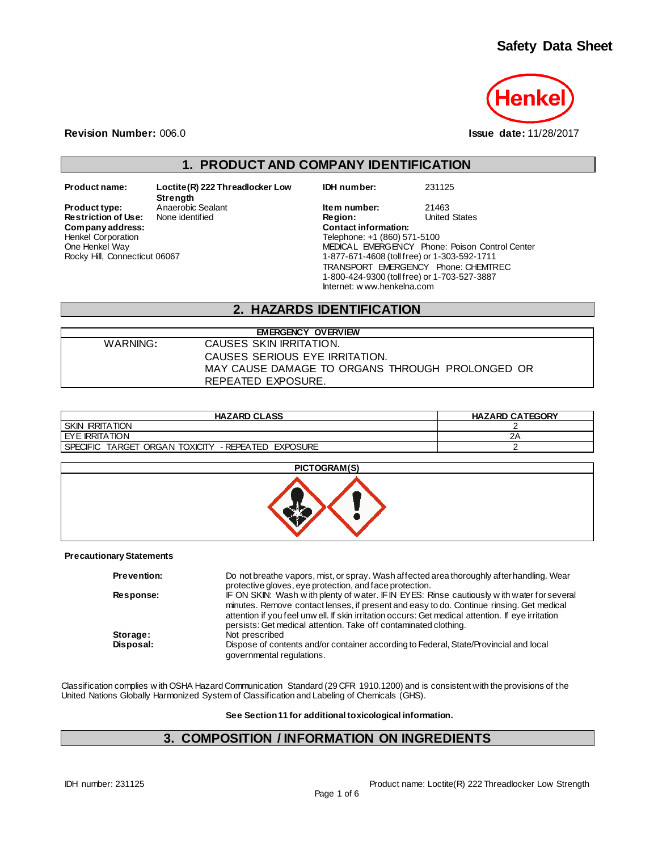

**Revision Number:** 006.0 **Issue date:** 11/28/2017

## **1. PRODUCT AND COMPANY IDENTIFICATION**

 $Company address:$ Henkel Corporation One Henkel Way Rocky Hill, Connecticut 06067

**Product name: Loctite(R) 222 Threadlocker Low Strength Restriction of Use:** None identified **Region:** Region: Region: United States Contact information:

**IDH number:** 231125

**Product type:** Anaerobic Sealant **Item number:** 21463<br> **Restriction of Use:** None identified **Integral Construct Construct Construct** Construction of United States Telephone: +1 (860) 571-5100 MEDICAL EMERGENCY Phone: Poison Control Center 1-877-671-4608 (toll free) or 1-303-592-1711 TRANSPORT EMERGENCY Phone: CHEMTREC 1-800-424-9300 (toll free) or 1-703-527-3887 Internet: w ww.henkelna.com

## **2. HAZARDS IDENTIFICATION**

| <b>EMERGENCY OVERVIEW</b> |                                                 |  |  |
|---------------------------|-------------------------------------------------|--|--|
| WARNING:                  | CAUSES SKIN IRRITATION.                         |  |  |
|                           | CAUSES SERIOUS EYE IRRITATION.                  |  |  |
|                           | MAY CAUSE DAMAGE TO ORGANS THROUGH PROLONGED OR |  |  |
|                           | REPEATED EXPOSURE.                              |  |  |

| <b>HAZARD CLASS</b>                                                | <b>HAZARD CATEGORY</b> |
|--------------------------------------------------------------------|------------------------|
| <b>SKIN IRRITATION</b>                                             |                        |
| <b>EYE IRRITATION</b>                                              | 2Α                     |
| ORGAN TOXICITY<br>- REPEATED EXPOSURE<br>TARGET<br><b>SPECIFIC</b> |                        |

## **PICTOGRAM(S)**



#### **Precautionary Statements**

| <b>Prevention:</b> | Do not breathe vapors, mist, or spray. Wash affected area thoroughly after handling. Wear<br>protective gloves, eye protection, and face protection.                                                                                                                                                                                                             |
|--------------------|------------------------------------------------------------------------------------------------------------------------------------------------------------------------------------------------------------------------------------------------------------------------------------------------------------------------------------------------------------------|
| Response:          | IF ON SKIN: Wash with plenty of water. IF IN EYES: Rinse cautiously with water for several<br>minutes. Remove contact lenses, if present and easy to do. Continue rinsing. Get medical<br>attention if you feel unw ell. If skin irritation occurs: Get medical attention. If eye irritation<br>persists: Get medical attention. Take off contaminated clothing. |
| Storage:           | Not prescribed                                                                                                                                                                                                                                                                                                                                                   |
| Disposal:          | Dispose of contents and/or container according to Federal, State/Provincial and local<br>governmental regulations.                                                                                                                                                                                                                                               |

Classification complies w ith OSHA Hazard Communication Standard (29 CFR 1910.1200) and is consistent with the provisions of the United Nations Globally Harmonized System of Classification and Labeling of Chemicals (GHS).

**See Section 11 for additional toxicological information.**

## **3. COMPOSITION / INFORMATION ON INGREDIENTS**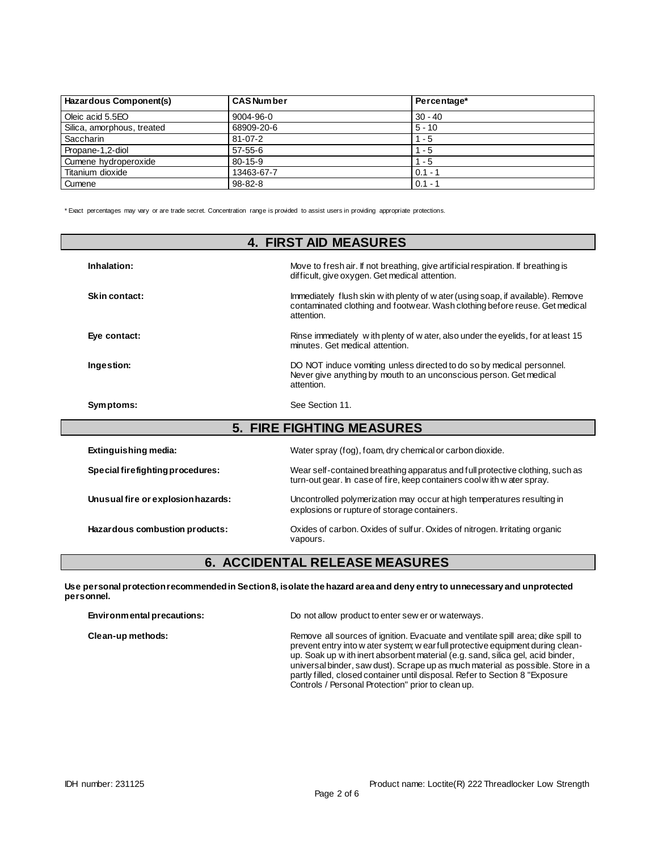| Hazardous Component(s)     | <b>CAS Number</b> | Percentage* |
|----------------------------|-------------------|-------------|
| Oleic acid 5.5EO           | 9004-96-0         | $30 - 40$   |
| Silica, amorphous, treated | 68909-20-6        | $5 - 10$    |
| Saccharin                  | $81 - 07 - 2$     | $1 - 5$     |
| Propane-1.2-diol           | $57-55-6$         | $1 - 5$     |
| Cumene hydroperoxide       | $80 - 15 - 9$     | $1 - 5$     |
| Titanium dioxide           | 13463-67-7        | $0.1 - 7$   |
| Cumene                     | $98 - 82 - 8$     | $0.1 -$     |

\* Exact percentages may vary or are trade secret. Concentration range is provided to assist users in providing appropriate protections.

| <b>4. FIRST AID MEASURES</b>       |                                                                                                                                                                               |  |  |
|------------------------------------|-------------------------------------------------------------------------------------------------------------------------------------------------------------------------------|--|--|
| Inhalation:                        | Move to fresh air. If not breathing, give artificial respiration. If breathing is<br>difficult, give oxygen. Get medical attention.                                           |  |  |
| Skin contact:                      | Immediately flush skin w ith plenty of w ater (using soap, if available). Remove<br>contaminated clothing and footwear. Wash clothing before reuse. Get medical<br>attention. |  |  |
| Eye contact:                       | Rinse immediately with plenty of water, also under the eyelids, for at least 15<br>minutes. Get medical attention.                                                            |  |  |
| Ingestion:                         | DO NOT induce vomiting unless directed to do so by medical personnel.<br>Never give anything by mouth to an unconscious person. Get medical<br>attention.                     |  |  |
| Symptoms:                          | See Section 11.                                                                                                                                                               |  |  |
|                                    | <b>5. FIRE FIGHTING MEASURES</b>                                                                                                                                              |  |  |
| Extinguishing media:               | Water spray (fog), foam, dry chemical or carbon dioxide.                                                                                                                      |  |  |
| Special firefighting procedures:   | Wear self-contained breathing apparatus and full protective clothing, such as<br>turn-out gear. In case of fire, keep containers cool with water spray.                       |  |  |
| Unusual fire or explosion hazards: | Uncontrolled polymerization may occur at high temperatures resulting in<br>explosions or rupture of storage containers.                                                       |  |  |
| Hazardous combustion products:     | Oxides of carbon. Oxides of sulfur. Oxides of nitrogen. Irritating organic<br>vapours.                                                                                        |  |  |

# **6. ACCIDENTAL RELEASE MEASURES**

**Use personal protection recommended in Section 8, isolate the hazard area and deny entry to unnecessary and unprotected personnel.**

| Environmental precautions: | Do not allow product to enter sew er or waterways.                                                                                                                                                                                                                                                                                                                                                                                                                               |
|----------------------------|----------------------------------------------------------------------------------------------------------------------------------------------------------------------------------------------------------------------------------------------------------------------------------------------------------------------------------------------------------------------------------------------------------------------------------------------------------------------------------|
| Clean-up methods:          | Remove all sources of ignition. Evacuate and ventilate spill area; dike spill to<br>prevent entry into w ater system; w ear full protective equipment during clean-<br>up. Soak up w ith inert absorbent material (e.g. sand, silica gel, acid binder,<br>universal binder, saw dust). Scrape up as much material as possible. Store in a<br>partly filled, closed container until disposal. Refer to Section 8 "Exposure"<br>Controls / Personal Protection" prior to clean up. |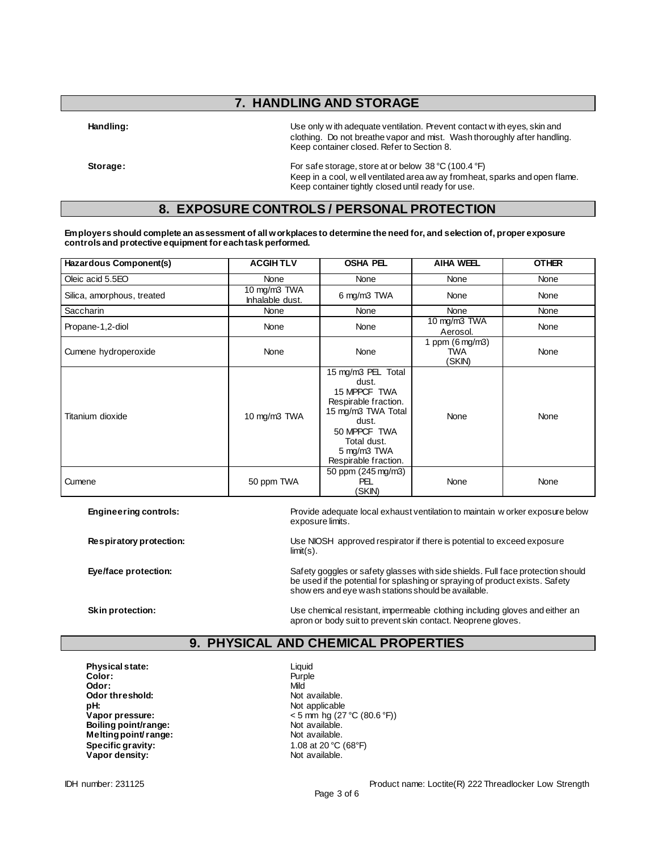## **7. HANDLING AND STORAGE**

**Handling:** Use only w ith adequate ventilation. Prevent contact w ith eyes, skin and clothing. Do not breathe vapor and mist. Wash thoroughly after handling. Keep container closed. Refer to Section 8.

**Storage:** For safe storage, store at or below 38 °C (100.4 °F) Keep in a cool, w ell ventilated area aw ay from heat, sparks and open flame. Keep container tightly closed until ready for use.

## **8. EXPOSURE CONTROLS / PERSONAL PROTECTION**

**Employers should complete an assessment of all workplaces to determine the need for, and selection of, proper exposure controls and protective equipment for each task performed.**

| Hazardous Component(s)     | <b>ACGIHTLV</b>                                | <b>OSHA PEL</b>                                                                                                                                                          | <b>AIHA WEEL</b> | <b>OTHER</b> |
|----------------------------|------------------------------------------------|--------------------------------------------------------------------------------------------------------------------------------------------------------------------------|------------------|--------------|
| Oleic acid 5.5EO           | None                                           | None                                                                                                                                                                     | None             | None         |
| Silica, amorphous, treated | 10 mg/m3 TWA<br>6 mg/m3 TWA<br>Inhalable dust. |                                                                                                                                                                          | None             | None         |
| Saccharin                  | None                                           | None                                                                                                                                                                     | None             | None         |
| Propane-1,2-diol           | None                                           | None                                                                                                                                                                     |                  | None         |
| Cumene hydroperoxide       | None                                           | 1 ppm $(6 \text{ mg/m3})$<br>None<br><b>TWA</b><br>(SKIN)                                                                                                                |                  | None         |
| Titanium dioxide           | 10 mg/m3 TWA                                   | 15 mg/m3 PEL Total<br>dust.<br>15 MPPCF TWA<br>Respirable fraction.<br>15 mg/m3 TWA Total<br>dust.<br>50 MPPCF TWA<br>Total dust.<br>5 mg/m3 TWA<br>Respirable fraction. | None             | None         |
| Cumene                     | 50 ppm TWA                                     | 50 ppm (245 mg/m3)<br>PEL<br>(SKIN)                                                                                                                                      | None             | None         |

**Engineering controls:** Provide adequate local exhaust ventilation to maintain w orker exposure below exposure limits.

**Respiratory protection:** Use NIOSH approved respirator if there is potential to exceed exposure limit(s).

**Eye/face protection:** Safety goggles or safety glasses with side shields. Full face protection should Separation should be used if the potential for splashing or spraying of product exists. Safety show ers and eye wash stations should be available.

**Skin protection:** Use chemical resistant, impermeable clothing including gloves and either an apron or body suit to prevent skin contact. Neoprene gloves.

## **9. PHYSICAL AND CHEMICAL PROPERTIES**

**Physical state:** Liquid **Color:** Liquid Color: Color: **Odor:** Mild **Odor threshold:** Not available. **pH:**<br> **Vapor pressure:**<br>
Vapor pressure:<br>  $\leq 5 \text{ mm}$  hg (27 **Boiling point/range:** Not available.<br> **Melting point/range:** Not available. **Melting point/ range: Specific gravity:** 1.08 at 20 °C (68°F)<br> **Vapor density:** Not available. **Vapor density:** 

**Vapor pressure:** < 5 mm hg (27 °C (80.6 °F))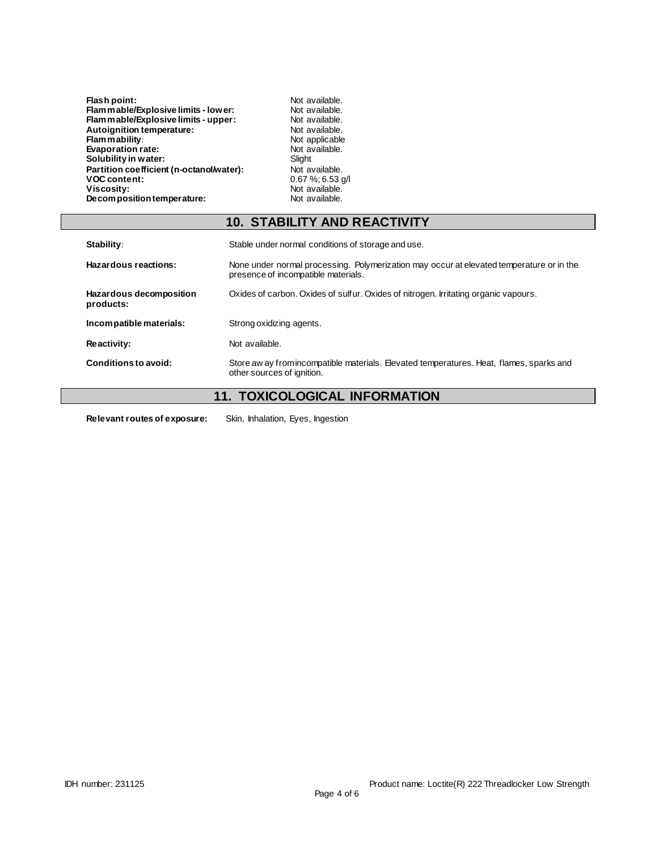| Flam mable/Explosive limits - low er:    | Not available.       |
|------------------------------------------|----------------------|
|                                          |                      |
| Flam mable/Explosive limits - upper:     | Not available.       |
| Autoignition temperature:                | Not available.       |
| <b>Flam mability:</b>                    | Not applicable       |
| <b>Evaporation rate:</b>                 | Not available.       |
| Solubility in water:                     | Slight               |
| Partition coefficient (n-octanol/water): | Not available.       |
| <b>VOC content:</b>                      | $0.67 \%$ ; 6.53 g/l |
| Viscosity:                               | Not available.       |
| Decomposition temperature:               | Not available.       |

Not available. **Flammable/Explosive limits - lower:** Not available. Not available. Not available. **Slight** Not available. Not available.

# **10. STABILITY AND REACTIVITY**

| Stability:                           | Stable under normal conditions of storage and use.                                                                              |  |  |
|--------------------------------------|---------------------------------------------------------------------------------------------------------------------------------|--|--|
| Hazardous reactions:                 | None under normal processing. Polymerization may occur at elevated temperature or in the<br>presence of incompatible materials. |  |  |
| Hazardous decomposition<br>products: | Oxides of carbon. Oxides of sulfur. Oxides of nitrogen. Irritating organic vapours.                                             |  |  |
| Incompatible materials:              | Strong oxidizing agents.                                                                                                        |  |  |
| <b>Reactivity:</b>                   | Not available.                                                                                                                  |  |  |
| Conditions to avoid:                 | Store aw ay from incompatible materials. Elevated temperatures. Heat, flames, sparks and<br>other sources of ignition.          |  |  |

# **11. TOXICOLOGICAL INFORMATION**

**Relevant routes of exposure:** Skin, Inhalation, Eyes, Ingestion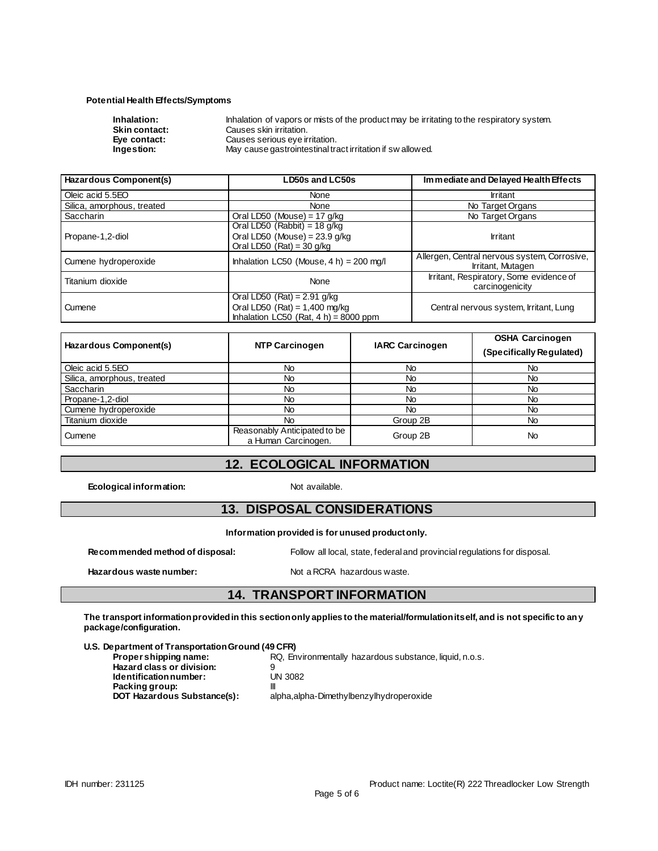### **Potential Health Effects/Symptoms**

| Inhalation:          | Inhalation of vapors or mists of the product may be irritating to the respiratory system. |
|----------------------|-------------------------------------------------------------------------------------------|
| <b>Skin contact:</b> | Causes skin irritation.                                                                   |
| Eve contact:         | Causes serious eye irritation.                                                            |
| Ingestion:           | May cause gastrointestinal tract irritation if sw allowed.                                |

| Hazardous Component(s)     | LD50s and LC50s                                                                                              | Immediate and Delayed Health Effects                              |  |
|----------------------------|--------------------------------------------------------------------------------------------------------------|-------------------------------------------------------------------|--|
| Oleic acid 5.5EO           | None                                                                                                         | <b>Irritant</b>                                                   |  |
| Silica, amorphous, treated | <b>None</b>                                                                                                  | No Target Organs                                                  |  |
| Saccharin                  | Oral LD50 (Mouse) = $17$ g/kg                                                                                | No Target Organs                                                  |  |
| Propane-1,2-diol           | Oral LD50 (Rabbit) = 18 g/kg<br>Oral LD50 (Mouse) = $23.9$ g/kg<br>Oral LD50 $(Rat) = 30$ g/kg               | <b>Irritant</b>                                                   |  |
| Cumene hydroperoxide       | Inhalation LC50 (Mouse, $4 h$ ) = 200 mg/l                                                                   | Allergen, Central nervous system, Corrosive,<br>Irritant, Mutagen |  |
| Titanium dioxide           | Irritant, Respiratory, Some evidence of<br>None                                                              |                                                                   |  |
| Cumene                     | Oral LD50 (Rat) = $2.91$ g/kg<br>Oral LD50 (Rat) = $1,400$ mg/kg<br>Inhalation LC50 (Rat, $4 h$ ) = 8000 ppm | Central nervous system, Irritant, Lung                            |  |

| Hazardous Component(s)     | <b>NTP Carcinogen</b>                               | <b>IARC Carcinogen</b> | <b>OSHA Carcinogen</b><br>(Specifically Regulated) |
|----------------------------|-----------------------------------------------------|------------------------|----------------------------------------------------|
| Oleic acid 5.5EO           | No.                                                 | <b>No</b>              | No.                                                |
| Silica, amorphous, treated | No                                                  | No                     | No.                                                |
| Saccharin                  | No                                                  | No                     | No.                                                |
| Propane-1,2-diol           | No.                                                 | <b>No</b>              | No.                                                |
| Cumene hydroperoxide       | No.                                                 | <b>No</b>              | No.                                                |
| Titanium dioxide           | No.                                                 | Group 2B               | No.                                                |
| Cumene                     | Reasonably Anticipated to be<br>a Human Carcinogen. | Group 2B               | <b>No</b>                                          |

## **12. ECOLOGICAL INFORMATION**

**Ecological information:** Not available.

## **13. DISPOSAL CONSIDERATIONS**

**Information provided is for unused product only.**

**Recommended method of disposal:** Follow all local, state, federal and provincial regulations for disposal.

Hazardous waste number: Not a RCRA hazardous waste.

### **14. TRANSPORT INFORMATION**

**The transport information provided in this section only applies to the material/formulation itself, and is not specific to any package/configuration.**

#### **U.S. Department of Transportation Ground (49 CFR)**

| Proper shipping name:       | RQ, Environmentally hazardous substance, liquid, n.o.s. |
|-----------------------------|---------------------------------------------------------|
| Hazard class or division:   |                                                         |
| Identification number:      | <b>UN 3082</b>                                          |
| Packing group:              | Ш                                                       |
| DOT Hazardous Substance(s): | alpha, alpha-Dimethylbenzylhydroperoxide                |
|                             |                                                         |